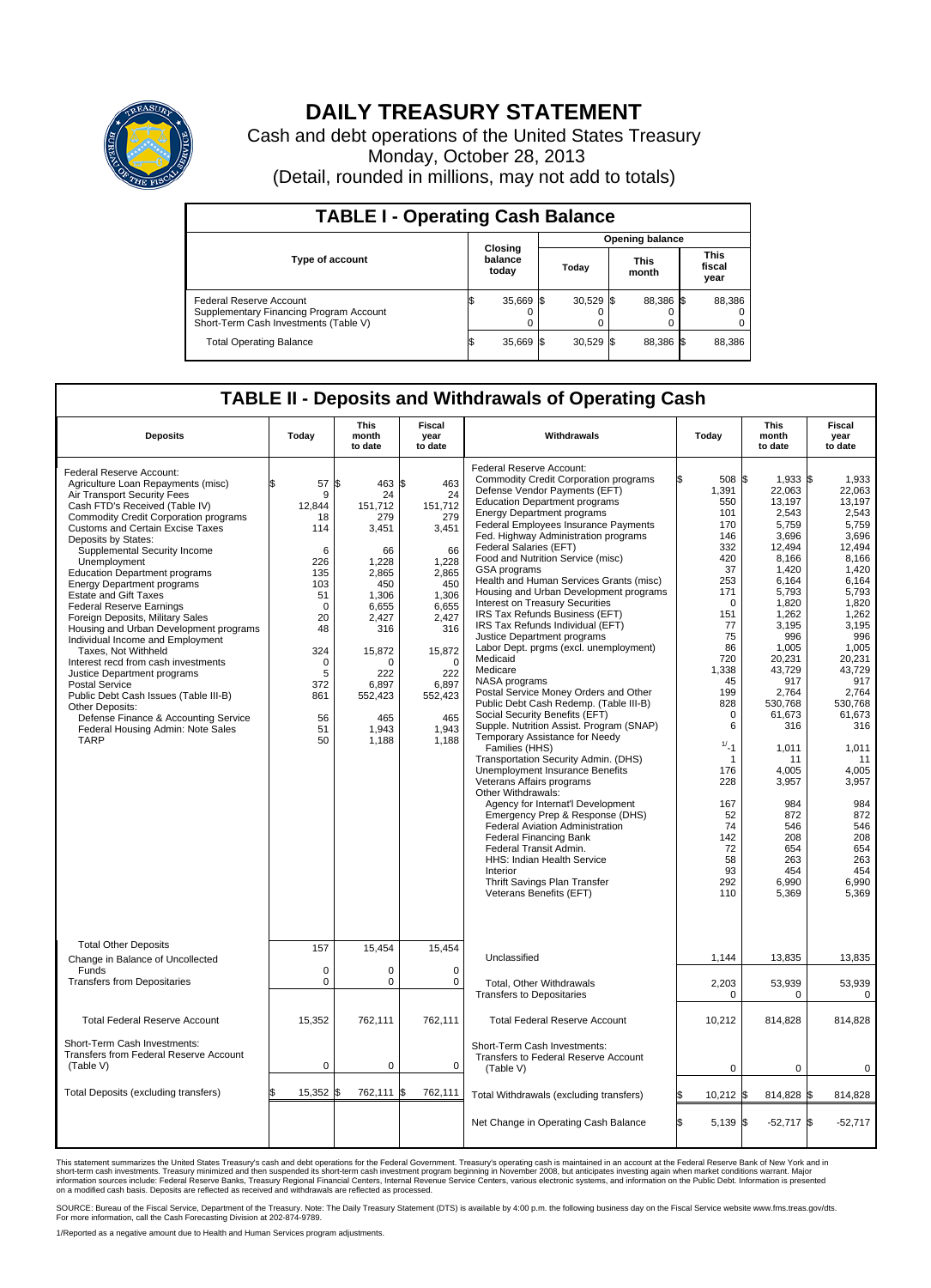

## **DAILY TREASURY STATEMENT**

Cash and debt operations of the United States Treasury Monday, October 28, 2013 (Detail, rounded in millions, may not add to totals)

| <b>TABLE I - Operating Cash Balance</b>                                                                     |  |                             |       |             |  |                      |  |                               |  |  |  |  |
|-------------------------------------------------------------------------------------------------------------|--|-----------------------------|-------|-------------|--|----------------------|--|-------------------------------|--|--|--|--|
| <b>Opening balance</b>                                                                                      |  |                             |       |             |  |                      |  |                               |  |  |  |  |
| <b>Type of account</b>                                                                                      |  | Closing<br>balance<br>today | Todav |             |  | <b>This</b><br>month |  | <b>This</b><br>fiscal<br>year |  |  |  |  |
| Federal Reserve Account<br>Supplementary Financing Program Account<br>Short-Term Cash Investments (Table V) |  | 35,669                      |       | $30,529$ \$ |  | 88.386 \$            |  | 88,386                        |  |  |  |  |
| <b>Total Operating Balance</b>                                                                              |  | 35,669                      |       | $30,529$ \$ |  | 88,386 \$            |  | 88,386                        |  |  |  |  |

## **TABLE II - Deposits and Withdrawals of Operating Cash**

| <b>Deposits</b>                                                                                                                                                                                                                                                                                                                                                                                                                                                                                                                                                                                                                                                                                                                                                                                                                            | Today                                                                                                                                                | This<br>month<br>to date                                                                                                                                                                  | Fiscal<br>year<br>to date                                                                                                                                                       | Withdrawals                                                                                                                                                                                                                                                                                                                                                                                                                                                                                                                                                                                                                                                                                                                                                                                                                                                                                                                                                                                                                                                                                                                                                                                                                                                                                                              | Today                                                                                                                                                                                                                                                                          | <b>This</b><br>month<br>to date                                                                                                                                                                                                                                                                                        | Fiscal<br>year<br>to date                                                                                                                                                                                                                                                                                         |
|--------------------------------------------------------------------------------------------------------------------------------------------------------------------------------------------------------------------------------------------------------------------------------------------------------------------------------------------------------------------------------------------------------------------------------------------------------------------------------------------------------------------------------------------------------------------------------------------------------------------------------------------------------------------------------------------------------------------------------------------------------------------------------------------------------------------------------------------|------------------------------------------------------------------------------------------------------------------------------------------------------|-------------------------------------------------------------------------------------------------------------------------------------------------------------------------------------------|---------------------------------------------------------------------------------------------------------------------------------------------------------------------------------|--------------------------------------------------------------------------------------------------------------------------------------------------------------------------------------------------------------------------------------------------------------------------------------------------------------------------------------------------------------------------------------------------------------------------------------------------------------------------------------------------------------------------------------------------------------------------------------------------------------------------------------------------------------------------------------------------------------------------------------------------------------------------------------------------------------------------------------------------------------------------------------------------------------------------------------------------------------------------------------------------------------------------------------------------------------------------------------------------------------------------------------------------------------------------------------------------------------------------------------------------------------------------------------------------------------------------|--------------------------------------------------------------------------------------------------------------------------------------------------------------------------------------------------------------------------------------------------------------------------------|------------------------------------------------------------------------------------------------------------------------------------------------------------------------------------------------------------------------------------------------------------------------------------------------------------------------|-------------------------------------------------------------------------------------------------------------------------------------------------------------------------------------------------------------------------------------------------------------------------------------------------------------------|
| Federal Reserve Account:<br>Agriculture Loan Repayments (misc)<br>Air Transport Security Fees<br>Cash FTD's Received (Table IV)<br>Commodity Credit Corporation programs<br><b>Customs and Certain Excise Taxes</b><br>Deposits by States:<br>Supplemental Security Income<br>Unemployment<br><b>Education Department programs</b><br><b>Energy Department programs</b><br><b>Estate and Gift Taxes</b><br><b>Federal Reserve Earnings</b><br>Foreign Deposits, Military Sales<br>Housing and Urban Development programs<br>Individual Income and Employment<br>Taxes, Not Withheld<br>Interest recd from cash investments<br>Justice Department programs<br><b>Postal Service</b><br>Public Debt Cash Issues (Table III-B)<br>Other Deposits:<br>Defense Finance & Accounting Service<br>Federal Housing Admin: Note Sales<br><b>TARP</b> | 57<br>9<br>12,844<br>18<br>114<br>6<br>226<br>135<br>103<br>51<br>$\mathbf 0$<br>20<br>48<br>324<br>$\mathbf 0$<br>5<br>372<br>861<br>56<br>51<br>50 | 463 \$<br>l\$<br>24<br>151,712<br>279<br>3,451<br>66<br>1,228<br>2,865<br>450<br>1,306<br>6,655<br>2,427<br>316<br>15,872<br>$\Omega$<br>222<br>6,897<br>552,423<br>465<br>1,943<br>1,188 | 463<br>24<br>151,712<br>279<br>3,451<br>66<br>1,228<br>2,865<br>450<br>1,306<br>6,655<br>2,427<br>316<br>15,872<br>$\Omega$<br>222<br>6,897<br>552,423<br>465<br>1,943<br>1,188 | Federal Reserve Account:<br><b>Commodity Credit Corporation programs</b><br>Defense Vendor Payments (EFT)<br><b>Education Department programs</b><br><b>Energy Department programs</b><br><b>Federal Employees Insurance Payments</b><br>Fed. Highway Administration programs<br>Federal Salaries (EFT)<br>Food and Nutrition Service (misc)<br>GSA programs<br>Health and Human Services Grants (misc)<br>Housing and Urban Development programs<br>Interest on Treasury Securities<br>IRS Tax Refunds Business (EFT)<br>IRS Tax Refunds Individual (EFT)<br>Justice Department programs<br>Labor Dept. prgms (excl. unemployment)<br>Medicaid<br>Medicare<br>NASA programs<br>Postal Service Money Orders and Other<br>Public Debt Cash Redemp. (Table III-B)<br>Social Security Benefits (EFT)<br>Supple. Nutrition Assist. Program (SNAP)<br>Temporary Assistance for Needy<br>Families (HHS)<br>Transportation Security Admin. (DHS)<br><b>Unemployment Insurance Benefits</b><br>Veterans Affairs programs<br>Other Withdrawals:<br>Agency for Internat'l Development<br>Emergency Prep & Response (DHS)<br>Federal Aviation Administration<br><b>Federal Financing Bank</b><br>Federal Transit Admin.<br><b>HHS: Indian Health Service</b><br>Interior<br>Thrift Savings Plan Transfer<br>Veterans Benefits (EFT) | 508 \$<br>1,391<br>550<br>101<br>170<br>146<br>332<br>420<br>37<br>253<br>171<br>$\Omega$<br>151<br>77<br>75<br>86<br>720<br>1,338<br>45<br>199<br>828<br>$\mathbf 0$<br>6<br>$1/ - 1$<br>$\mathbf{1}$<br>176<br>228<br>167<br>52<br>74<br>142<br>72<br>58<br>93<br>292<br>110 | $1,933$ \$<br>22,063<br>13.197<br>2,543<br>5,759<br>3,696<br>12.494<br>8,166<br>1,420<br>6,164<br>5,793<br>1,820<br>1,262<br>3,195<br>996<br>1,005<br>20,231<br>43,729<br>917<br>2,764<br>530.768<br>61,673<br>316<br>1,011<br>11<br>4,005<br>3,957<br>984<br>872<br>546<br>208<br>654<br>263<br>454<br>6,990<br>5,369 | 1,933<br>22,063<br>13.197<br>2,543<br>5,759<br>3,696<br>12.494<br>8,166<br>1,420<br>6,164<br>5,793<br>1,820<br>1,262<br>3.195<br>996<br>1,005<br>20,231<br>43,729<br>917<br>2,764<br>530.768<br>61,673<br>316<br>1,011<br>11<br>4,005<br>3,957<br>984<br>872<br>546<br>208<br>654<br>263<br>454<br>6,990<br>5,369 |
| <b>Total Other Deposits</b><br>Change in Balance of Uncollected                                                                                                                                                                                                                                                                                                                                                                                                                                                                                                                                                                                                                                                                                                                                                                            | 157                                                                                                                                                  | 15,454                                                                                                                                                                                    | 15,454                                                                                                                                                                          | Unclassified                                                                                                                                                                                                                                                                                                                                                                                                                                                                                                                                                                                                                                                                                                                                                                                                                                                                                                                                                                                                                                                                                                                                                                                                                                                                                                             | 1,144                                                                                                                                                                                                                                                                          | 13,835                                                                                                                                                                                                                                                                                                                 | 13,835                                                                                                                                                                                                                                                                                                            |
| Funds<br><b>Transfers from Depositaries</b>                                                                                                                                                                                                                                                                                                                                                                                                                                                                                                                                                                                                                                                                                                                                                                                                | $\mathbf 0$<br>$\mathbf 0$                                                                                                                           | 0<br>0                                                                                                                                                                                    | 0<br>$\mathbf 0$                                                                                                                                                                | Total, Other Withdrawals<br><b>Transfers to Depositaries</b>                                                                                                                                                                                                                                                                                                                                                                                                                                                                                                                                                                                                                                                                                                                                                                                                                                                                                                                                                                                                                                                                                                                                                                                                                                                             | 2,203<br>$\mathbf 0$                                                                                                                                                                                                                                                           | 53,939<br>0                                                                                                                                                                                                                                                                                                            | 53,939<br>$\mathbf 0$                                                                                                                                                                                                                                                                                             |
| <b>Total Federal Reserve Account</b>                                                                                                                                                                                                                                                                                                                                                                                                                                                                                                                                                                                                                                                                                                                                                                                                       | 15,352                                                                                                                                               | 762,111                                                                                                                                                                                   | 762,111                                                                                                                                                                         | <b>Total Federal Reserve Account</b>                                                                                                                                                                                                                                                                                                                                                                                                                                                                                                                                                                                                                                                                                                                                                                                                                                                                                                                                                                                                                                                                                                                                                                                                                                                                                     | 10,212                                                                                                                                                                                                                                                                         | 814,828                                                                                                                                                                                                                                                                                                                | 814,828                                                                                                                                                                                                                                                                                                           |
| Short-Term Cash Investments:<br>Transfers from Federal Reserve Account<br>(Table V)                                                                                                                                                                                                                                                                                                                                                                                                                                                                                                                                                                                                                                                                                                                                                        | $\mathbf 0$                                                                                                                                          | 0                                                                                                                                                                                         | $\mathbf 0$                                                                                                                                                                     | Short-Term Cash Investments:<br>Transfers to Federal Reserve Account<br>(Table V)                                                                                                                                                                                                                                                                                                                                                                                                                                                                                                                                                                                                                                                                                                                                                                                                                                                                                                                                                                                                                                                                                                                                                                                                                                        | 0                                                                                                                                                                                                                                                                              | $\Omega$                                                                                                                                                                                                                                                                                                               | $\Omega$                                                                                                                                                                                                                                                                                                          |
| Total Deposits (excluding transfers)                                                                                                                                                                                                                                                                                                                                                                                                                                                                                                                                                                                                                                                                                                                                                                                                       | 15,352<br>\$                                                                                                                                         | 762,111 \$<br>ß.                                                                                                                                                                          | 762,111                                                                                                                                                                         | Total Withdrawals (excluding transfers)                                                                                                                                                                                                                                                                                                                                                                                                                                                                                                                                                                                                                                                                                                                                                                                                                                                                                                                                                                                                                                                                                                                                                                                                                                                                                  | l\$<br>10,212 \$                                                                                                                                                                                                                                                               | 814,828 \$                                                                                                                                                                                                                                                                                                             | 814,828                                                                                                                                                                                                                                                                                                           |
|                                                                                                                                                                                                                                                                                                                                                                                                                                                                                                                                                                                                                                                                                                                                                                                                                                            |                                                                                                                                                      |                                                                                                                                                                                           |                                                                                                                                                                                 | Net Change in Operating Cash Balance                                                                                                                                                                                                                                                                                                                                                                                                                                                                                                                                                                                                                                                                                                                                                                                                                                                                                                                                                                                                                                                                                                                                                                                                                                                                                     | Ŝ.<br>$5,139$ \$                                                                                                                                                                                                                                                               | $-52,717$ \$                                                                                                                                                                                                                                                                                                           | $-52,717$                                                                                                                                                                                                                                                                                                         |

This statement summarizes the United States Treasury's cash and debt operations for the Federal Government. Treasury's operating cash is maintained in an account at the Federal Reserve Bank of New York and in<br>informetion c

SOURCE: Bureau of the Fiscal Service, Department of the Treasury. Note: The Daily Treasury Statement (DTS) is available by 4:00 p.m. the following business day on the Fiscal Service website www.fms.treas.gov/dts.<br>For more